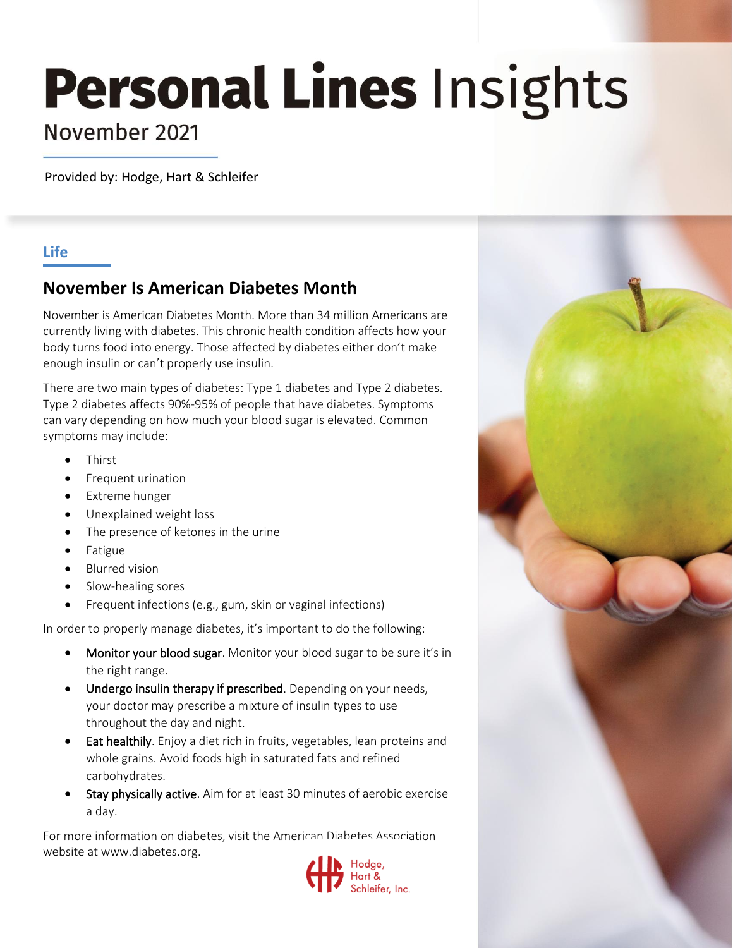# **Personal Lines Insights**

## November 2021

Provided by: Hodge, Hart & Schleifer

#### **Life**

### **November Is American Diabetes Month**

November is American Diabetes Month. More than 34 million Americans are currently living with diabetes. This chronic health condition affects how your body turns food into energy. Those affected by diabetes either don't make enough insulin or can't properly use insulin.

There are two main types of diabetes: Type 1 diabetes and Type 2 diabetes. Type 2 diabetes affects 90%-95% of people that have diabetes. Symptoms can vary depending on how much your blood sugar is elevated. Common symptoms may include:

- **Thirst**
- Frequent urination
- Extreme hunger
- Unexplained weight loss
- The presence of ketones in the urine
- Fatigue
- Blurred vision
- Slow-healing sores
- Frequent infections (e.g., gum, skin or vaginal infections)

In order to properly manage diabetes, it's important to do the following:

- Monitor your blood sugar. Monitor your blood sugar to be sure it's in the right range.
- Undergo insulin therapy if prescribed. Depending on your needs, your doctor may prescribe a mixture of insulin types to use throughout the day and night.
- Eat healthily. Enjoy a diet rich in fruits, vegetables, lean proteins and whole grains. Avoid foods high in saturated fats and refined carbohydrates.
- Stay physically active. Aim for at least 30 minutes of aerobic exercise a day.

For more information on diabetes, visit the American Diabetes Association website at www.diabetes.org.